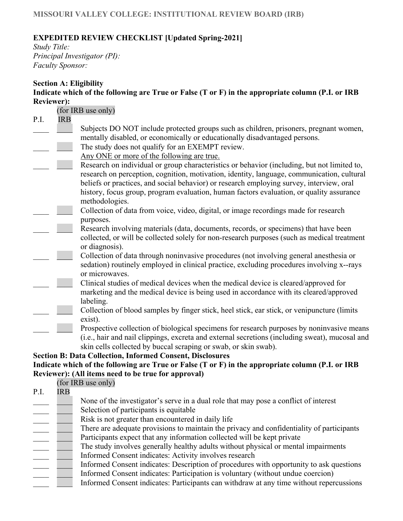### **MISSOURI VALLEY COLLEGE: INSTITUTIONAL REVIEW BOARD (IRB)**

# **EXPEDITED REVIEW CHECKLIST [Updated Spring-2021]**

*Study Title: Principal Investigator (PI): Faculty Sponsor:* 

| Indicate which of the following are True or False (T or F) in the appropriate column (P.I. or IRB<br><b>Reviewer):</b><br>(for IRB use only)<br>P.I.<br><b>IRB</b><br>Subjects DO NOT include protected groups such as children, prisoners, pregnant women, |
|-------------------------------------------------------------------------------------------------------------------------------------------------------------------------------------------------------------------------------------------------------------|
|                                                                                                                                                                                                                                                             |
|                                                                                                                                                                                                                                                             |
|                                                                                                                                                                                                                                                             |
|                                                                                                                                                                                                                                                             |
|                                                                                                                                                                                                                                                             |
| mentally disabled, or economically or educationally disadvantaged persons.                                                                                                                                                                                  |
| The study does not qualify for an EXEMPT review.                                                                                                                                                                                                            |
| Any ONE or more of the following are true.                                                                                                                                                                                                                  |
| Research on individual or group characteristics or behavior (including, but not limited to,                                                                                                                                                                 |
| research on perception, cognition, motivation, identity, language, communication, cultural                                                                                                                                                                  |
| beliefs or practices, and social behavior) or research employing survey, interview, oral                                                                                                                                                                    |
| history, focus group, program evaluation, human factors evaluation, or quality assurance                                                                                                                                                                    |
| methodologies.                                                                                                                                                                                                                                              |
| Collection of data from voice, video, digital, or image recordings made for research                                                                                                                                                                        |
| purposes.                                                                                                                                                                                                                                                   |
| Research involving materials (data, documents, records, or specimens) that have been                                                                                                                                                                        |
| collected, or will be collected solely for non-research purposes (such as medical treatment                                                                                                                                                                 |
| or diagnosis).                                                                                                                                                                                                                                              |
| Collection of data through noninvasive procedures (not involving general anesthesia or                                                                                                                                                                      |
| sedation) routinely employed in clinical practice, excluding procedures involving x--rays                                                                                                                                                                   |
| or microwaves.                                                                                                                                                                                                                                              |
| Clinical studies of medical devices when the medical device is cleared/approved for                                                                                                                                                                         |
| marketing and the medical device is being used in accordance with its cleared/approved                                                                                                                                                                      |
| labeling.                                                                                                                                                                                                                                                   |
| Collection of blood samples by finger stick, heel stick, ear stick, or venipuncture (limits                                                                                                                                                                 |
| exist).                                                                                                                                                                                                                                                     |
| Prospective collection of biological specimens for research purposes by noninvasive means                                                                                                                                                                   |
| (i.e., hair and nail clippings, excreta and external secretions (including sweat), mucosal and                                                                                                                                                              |
| skin cells collected by buccal scraping or swab, or skin swab).                                                                                                                                                                                             |
| <b>Section B: Data Collection, Informed Consent, Disclosures</b>                                                                                                                                                                                            |
| Indicate which of the following are True or False (T or F) in the appropriate column (P.I. or IRB                                                                                                                                                           |
| Reviewer): (All items need to be true for approval)                                                                                                                                                                                                         |
| (for IRB use only)                                                                                                                                                                                                                                          |
| P.I.<br><b>IRB</b>                                                                                                                                                                                                                                          |
| None of the investigator's serve in a dual role that may pose a conflict of interest                                                                                                                                                                        |
| Selection of participants is equitable                                                                                                                                                                                                                      |
| Risk is not greater than encountered in daily life                                                                                                                                                                                                          |
| There are adequate provisions to maintain the privacy and confidentiality of participants                                                                                                                                                                   |
| Participants expect that any information collected will be kept private                                                                                                                                                                                     |
| The study involves generally healthy adults without physical or mental impairments                                                                                                                                                                          |
| Informed Consent indicates: Activity involves research                                                                                                                                                                                                      |
| Informed Consent indicates: Description of procedures with opportunity to ask questions                                                                                                                                                                     |

- Informed Consent indicates: Participation is voluntary (without undue coercion)
- Informed Consent indicates: Participants can withdraw at any time without repercussions